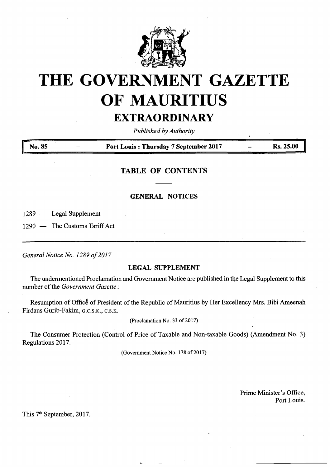

# **THE GOVERNMENT GAZETTE OF MAURITIUS**

## **EXTRAORDINARY**

*Published byAuthority*

**<sup>|</sup> No. <sup>85</sup> - Port Louis : Thursday <sup>7</sup> September <sup>2017</sup> - Rs. 25.00**

### **TABLE OF CONTENTS**

#### **GENERAL NOTICES**

1289 — Legal Supplement

1290 — The Customs Tariff Act

*General Notice No. 1289 of201*<sup>7</sup>

#### **LEGAL SUPPLEMENT**

The undermentioned Proclamation and Government Notice are published in the Legal Supplement to this number of the *Government Gazette*:

Resumption of Office of President of the Republic of Mauritius by Her Excellency Mrs. Bibi Ameenah Firdaus Gurib-Fakim, **<sup>g</sup>.c.s.k., <sup>c</sup>.s.k.**

(Proclamation No. 33 of 2017)

The Consumer Protection (Control of Price of Taxable and Non-taxable Goods) (Amendment No. 3) Regulations 2017.

(Government Notice No. 178 of 2017)

Prime Minister's Office, Port Louis.

This 7<sup>th</sup> September, 2017.